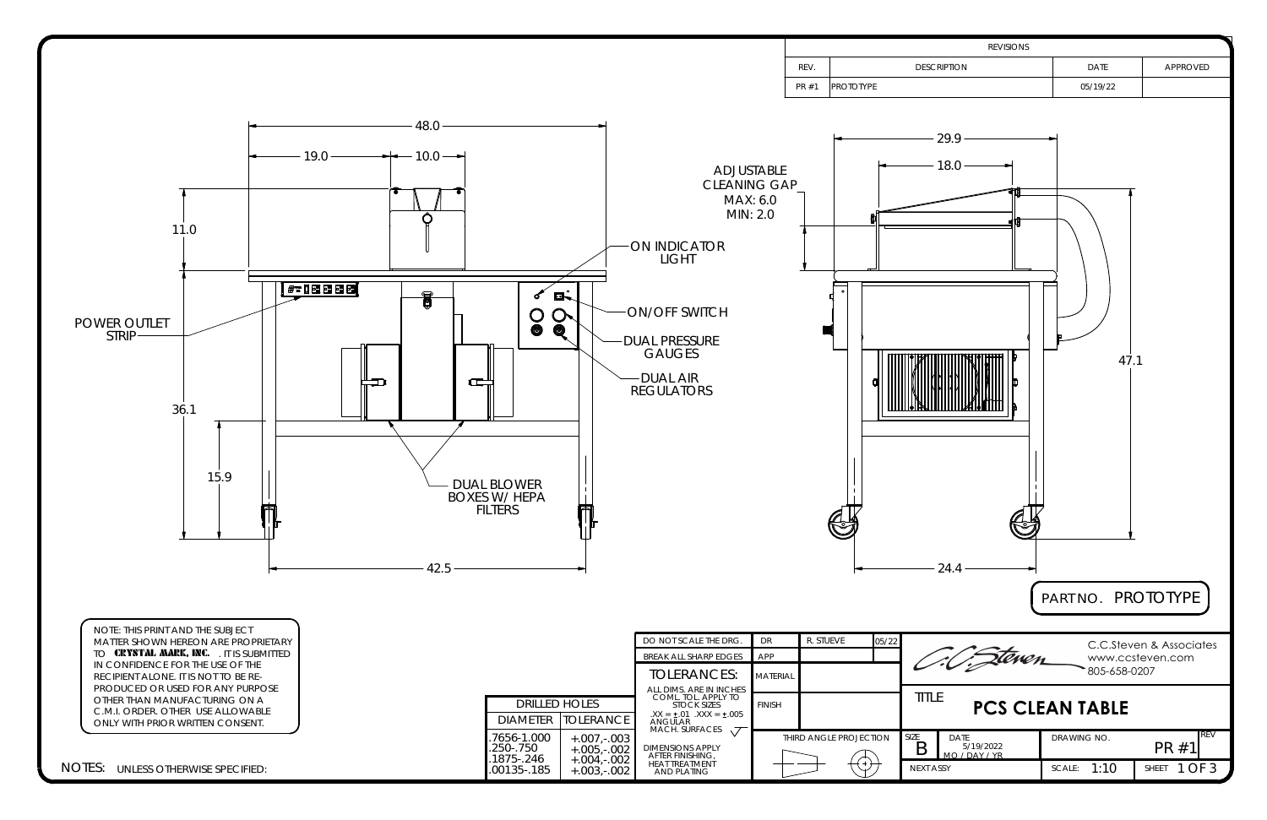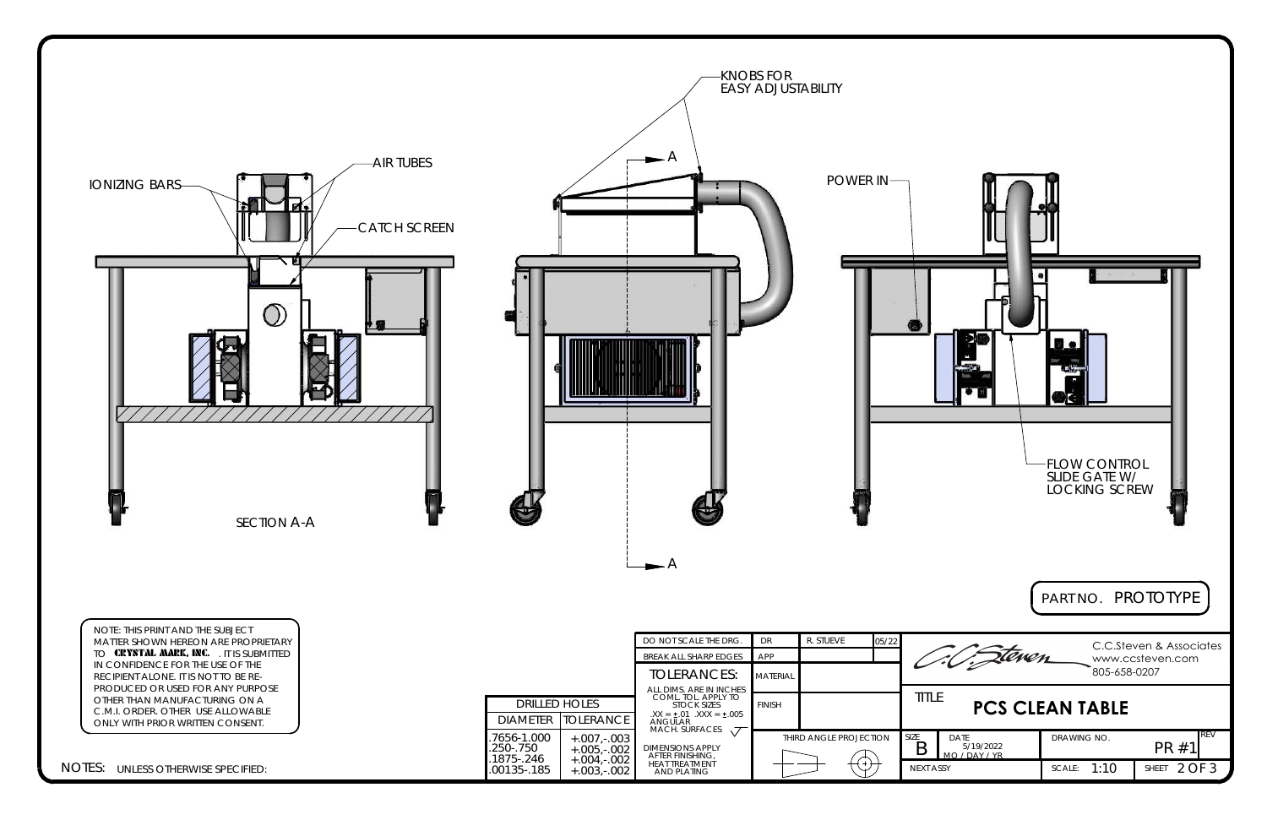